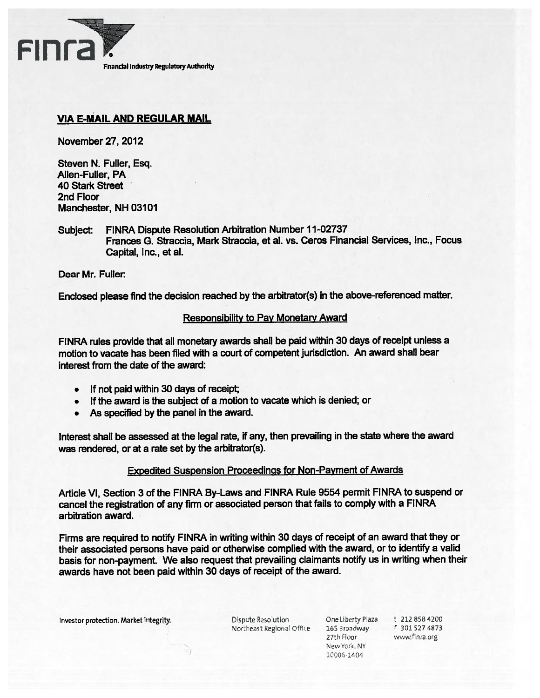

# VIA E-MAiL AND REGULAR MAIL

November 27, 2012

Steven N. Fuller, Esq. Allen-Fuller, PA 40 Stark Street 2nd Floor Manchester, NH 03101

Subject: FINRA Dispute Resolution Arbitration Number 11-02737 Frances G. Straccia, Mark Straccia, et al. vs. Ceros Financial Services, Inc., Focus Capital, Inc., et al.

Dear Mr. Fuller

Enclosed <sup>p</sup>lease find the decision reached by the arbitrator(s) in the above-referenced matter.

### Responsibility to Pay Monetary Award

FINRA rules provide that all monetary awards shall be paid within <sup>30</sup> days of receipt unless <sup>a</sup> motion to vacate has been filed with <sup>a</sup> court of competent jurisdiction. An award shall bear interest from the date of the award:

- •If not paid within 30 days of receipt;
- If the award is the subject of <sup>a</sup> motion to vacate which is denied; or
- •As specified by the panel in the award.

Interest shall be assessed at the legal rate, if any, then prevailing in the state where the award was rendered, or at <sup>a</sup> rate set by the arbitrator(s).

### Expedited Suspension Proceedings for Non-Payment of Awards

Article VI, Section 3 of the FINRA By-Laws and FINRA Rule 9554 permit FINRA to suspend or cancel the registration of any firm or associated person that fails to comply with <sup>a</sup> FINRA arbitration award.

Firms are required to notify FINRA in writing within <sup>30</sup> days of receipt of an award that they or their associated persons have paid or otherwise complied with the award, or to identify <sup>a</sup> valid basis for non-payment. We also reques<sup>t</sup> that prevailing claimants notify us in writing when their awards have not been paid within 30 days of receipt of the award.

Investor protection. Market integrity. Dispute Resolution One Liberty Plaza t 212 858 4200

Northeast Regional Office 165 Broadway f 301 527 4873

27th Floor www.finra.org New York, NY 10006-1404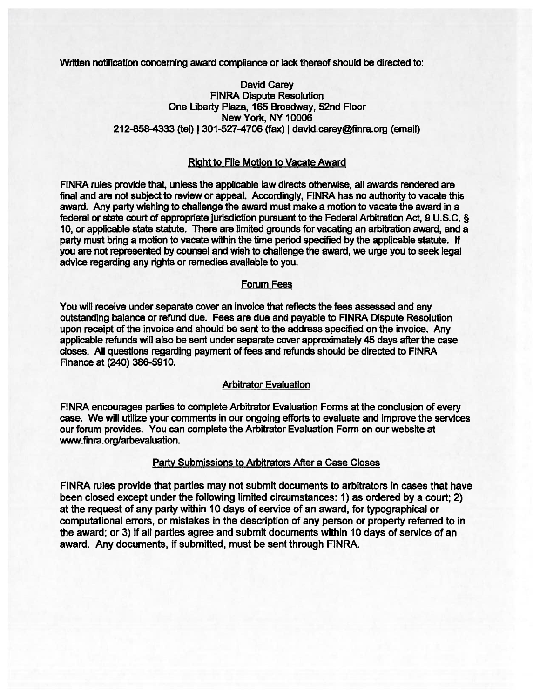Written notification concerning award compliance or lack thereof should be directed to:

David Carey FINRA Dispute Resolution One Liberty Plaza, 165 Broadway, 52nd Floor New York, NY 10006 212-858-4333 (tel) | 301-527-4706 (fax) | david.carey@finra.org (email)

#### Right to File Motion to Vacate Award

FINRA rules provide that, unless the applicable law directs otherwise, all awards rendered are final and are not subject to review or appeal. Accordingly, FINRA has no authority to vacate this award. Any party wishing to challenge the award must make a motion to vacate the award in a federal or state court of appropriate jurisdiction pursuant to the Federal Arbitration Act, 9 U.S.C. § 10, or applicable state statute. There are limited grounds for vacating an arbitration award, and a party must bring <sup>a</sup> motion to vacate within the time period specified by the applicable statute. If you are not represented by counsel and wish to challenge the award, we urge you to seek legal advice regarding any rights or remedies available to you.

#### Forum Fees

You will receive under separate cover an invoice that reflects the fees assessed and any outstanding balance or refund due. Fees are due and payable to FINRA Dispute Resolution upon receipt of the invoice and should be sent to the address specified on the invoice. Any applicable refunds will also be sent under separate cover approximately 45 days after the case closes. All questions regarding paymen<sup>t</sup> of fees and refunds should be directed to FINRA Finance at (240) 386-5910.

#### Arbitrator Evaluation

FINRA encourages parties to complete Arbitrator Evaluation Forms at the conclusion of every case. We will utilize your comments in our ongoing efforts to evaluate and improve the services our forum provides. You can complete the Arbitrator Evaluation Form on our website at www.finra.org/arbevaluation.

#### Party Submissions to Arbitrators After <sup>a</sup> Case Closes

FINRA rules provide that parties may not submit documents to arbitrators in cases that have been closed excep<sup>t</sup> under the following limited circumstances: 1) as ordered by <sup>a</sup> court; 2) at the reques<sup>t</sup> of any party within 10 days of service of an award, for typographical or computational errors, or mistakes in the description of any person or property referred to in the award; or 3) if all parties agree and submit documents within 10 days of service of an award. Any documents, if submitted, must be sent through FINRA.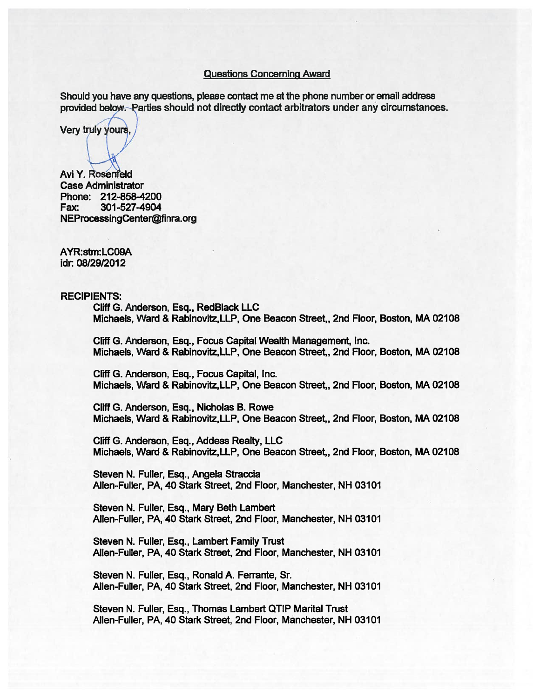#### Questions Concerning Award

Should you have any questions, please contact me at the phone number or email address provided below—Parties should not directly contact arbitrators under any circumstances.

Very truly yours.

Avi Y. Rosenfeld Case Administrator Phone: 212-858-4200 Fax: 301-527-4904 NEProcessingCenter@finra.org

AYR:stm:LCO9A idr: 08/29/2012

RECIPIENTS:

Cliff G. Anderson, Esq., RedBlack LLC Michaels, Ward & Rabinovitz,LLP, One Beacon Street,, 2nd Floor, Boston, MA 02108

Cliff G. Anderson, Esq., Focus Capital Wealth Management, Inc. Michaels, Ward & Rabinovitz,LLP, One Beacon Street,, 2nd Floor, Boston, MA 02108

Cliff G. Anderson, Esq., Focus Capital, Inc. Michaels, Ward & Rabinovitz,LLP, One Beacon Street,, 2nd Floor, Boston, MA 02108

Cliff G. Anderson, Esq., Nicholas B. Rowe Michaels, Ward & Rabinovitz,LLP, One Beacon Street,, 2nd Floor, Boston, MA 02108

Cliff G. Anderson, Esq., Addess Realty, LLC Michaels, Ward & Rabinovitz,LLP, One Beacon Street,, 2nd Floor, Boston, MA 02108

Steven N. Fuller, Esq., Angela Straccia Allen-Fuller, PA, 40 Stark Street, 2nd Floor, Manchester, NH 03101

Steven N. Fuller, Esq., Mary Beth Lambert Allen-Fuller, PA,40 Stark Street, 2nd Floor, Manchester, NH 03101

Steven N. Fuller, Esq., Lambert Family Trust Allen-Fuller, PA, 40 Stark Street, 2nd Floor, Manchester, NH 03101

Steven N. Fuller, Esq., Ronald A. Ferrante, Sr. Allen-Fuller, PA, 40 Stark Street, 2nd Floor, Manchester, NH 03101

Steven N. Fuller, Esq., Thomas Lambert QTIP Marital Trust Allen-Fuller, PA, 40 Stark Street, 2nd Floor, Manchester, NH 03101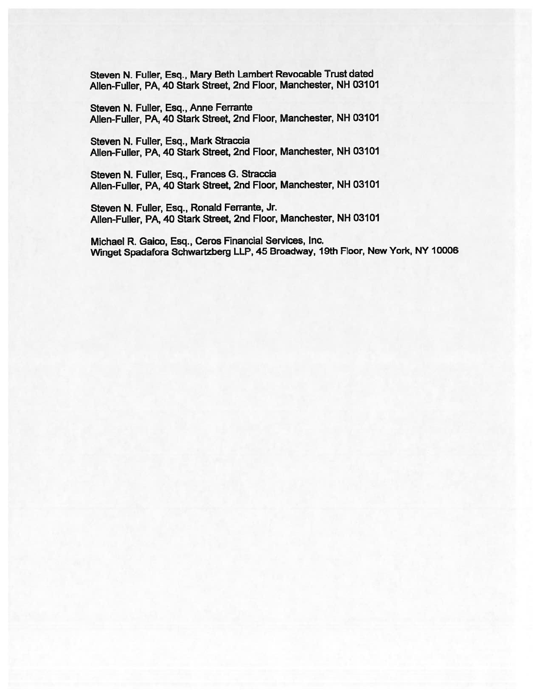Steven N. Fuller, Esq., Mary Beth Lambert Revocable Trust dated Allen-Fuller, PA, 40 Stark Street, 2nd Floor, Manchester, NH 03101

Steven N. Fuller, Esq., Anne Ferrante Allen-Fuller, PA, 40 Stark Street, 2nd Floor, Manchester, NH 03101

Steven N. Fuller, Esq., Mark Straccia Allen-Fuller, PA, 40 Stark Street, 2nd Floor, Manchester, NH 03101

Steven N. Fuller, Esq., Frances G. Straccia Allen-Fuller, PA, 40 Stark Street, 2nd Floor, Manchester, NH 03101

Steven N. Fuller, Esq., Ronald Ferrante, Jr. Allen-Fuller, PA, 40 Stark Street, 2nd Floor, Manchester, NH 03101

Michael R. Gaico, Esq., Ceros Financial Services, Inc. Winget Spadafora Schwartzberg LLP, <sup>45</sup> Broadway, 19th Floor, New York, NY <sup>10006</sup>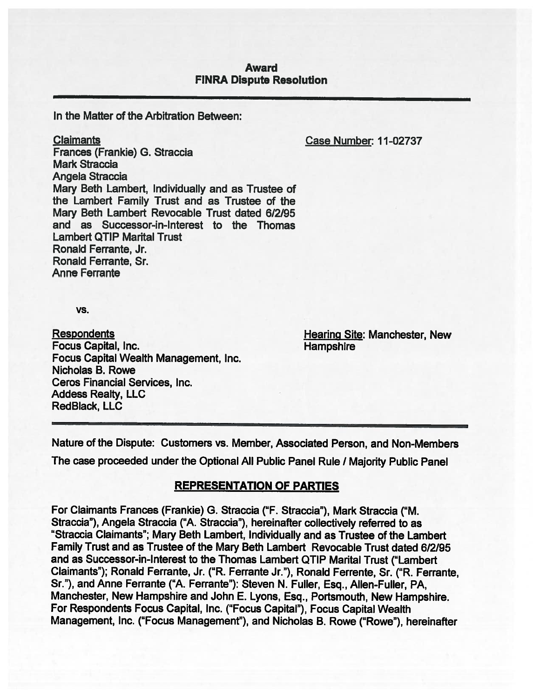### Award FINRA Dispute Resolution

In the Matter of the Arbitration Between:

Claimants Case Number: 11-02737

Frances (Frankie) G. Straccia Mark Straccia Angela Straccia Mary Beth Lambert, Individually and as Trustee of the Lambert Family Trust and as Trustee of the Mary Beth Lambert Revocable Trust dated 6/2/95 and as Successor-in-Interest to the Thomas Lambert QTIP Marital Trust Ronald Ferrante, Jr. Ronald Ferrante, Sr. Anne Ferrante

vs.

Respondents **Hearing Site: Manchester, New** Focus Capital, Inc. **Hampshire** Focus Capital Wealth Management, Inc. Nicholas B. Rowe Ceros Financial Services, Inc. Addess Realty, LLC RedBlack, LLC

Nature of the Dispute: Customers vs. Member, Associated Person, and Non-Members

The case proceeded under the Optional All Public Panel Rule / Majority Public Panel

### REPRESENTATION OF PARTIES

For Claimants Frances (Frankie) G. Straccia ("F. Straccia"), Mark Straccia ("M. Straccia"), Angela Straccia ("A. Straccia"), hereinafter collectively referred to as "Straccia Claimants"; Mary Beth Lambert, Individually and as Trustee of the Lambert Family Trust and as Trustee of the Mary Beth Lambert Revocable Trust dated 6/2/95 and as Successor-in-Interest to the Thomas Lambert QTIP Marital Trust ("Lambert Claimants"); Ronald Ferrante, Jr. ("R. Ferrante Jr."), Ronald Ferrente, Sr. ("R. Ferrante, Sr."), and Anne Ferrante ("A. Ferrante"): Steven N. Fuller, Esq., Allen-Fuller, PA, Manchester, New Hampshire and John E. Lyons, Esq., Portsmouth, New Hampshire. For Respondents Focus Capital, Inc. ("Focus Capital"), Focus Capital Wealth Management, Inc. ("Focus Management"), and Nicholas B. Rowe ("Rowe"), hereinafter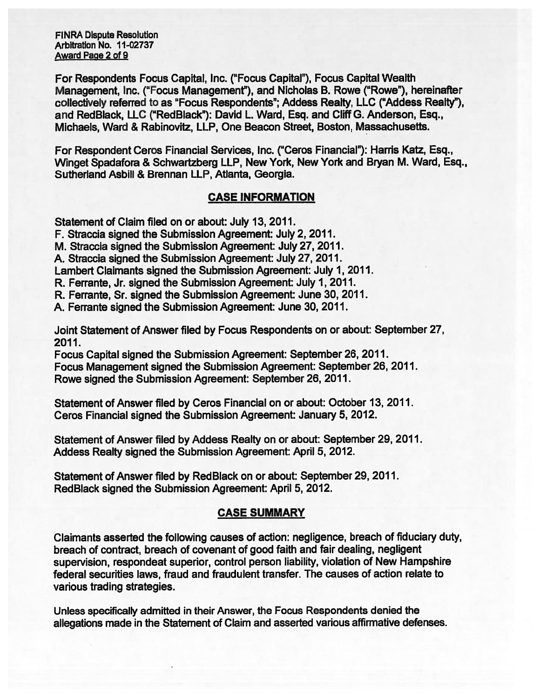FINRA Dispute Resolution Arbitration No. 11-02737 Award Page 2 of 9

For Respondents Focus Capital, Inc. ("Focus Capital"), Focus Capital Wealth Management, Inc. ("Focus Management"), and Nicholas B. Rowe ("Rowe"), hereinafter collectively referred to as "Focus Respondents"; Addess Realty, LLC ("Addess Realty"), and RedBlack, LLC ("RedBlack"): David L. Ward, Esq. and Cliff G. Anderson, Esq., Michaels, Ward & Rabinovitz, LLP, One Beacon Street, Boston, Massachusetts.

For Respondent Ceros Financial Services, Inc. ("Ceros Financial"): Harris Katz, Esq., Winget Spadafora & Schwartzberg LLP, New York, New York and Bryan M. Ward, Esq., Sutherland Asbill & Brennan LLP, Atlanta, Georgia.

# CASE INFORMATION

Statement of Claim filed on or about: July 13, 2011.

F. Straccia signed the Submission Agreement: July 2, 2011.

M. Straccia signed the Submission Agreement: July 27, 2011.

A. Straccia signed the Submission Agreement: July 27, 2011.

Lambert Claimants signed the Submission Agreement: July 1, 2011.

R. Ferrante, Jr. signed the Submission Agreement: July 1, 2011.

R. Ferrante, Sr. signed the Submission Agreement: June 30, 2011.

A. Ferrante signed the Submission Agreement: June 30, 2011.

Joint Statement of Answer filed by Focus Respondents on or about: September 27, 2011.

Focus Capital signed the Submission Agreement: September 26, 2011. Focus Management signed the Submission Agreement: September 26, 2011. Rowe signed the Submission Agreement: September 26, 2011.

Statement of Answer filed by Ceros Financial on or about: October 13, 2011. Ceros Financial signed the Submission Agreement: January 5, 2012.

Statement of Answer filed by Addess Realty on or about: September 29, 2011. Addess Realty signed the Submission Agreement: April 5, 2012.

Statement of Answer filed by RedBlack on or about: September 29, 2011. RedBlack signed the Submission Agreement: April 5, 2012.

# CASE SUMMARY

Claimants asserted the following causes of action: negligence, breach of fiduciary duty, breach of contract, breach of covenant of good faith and fair dealing, negligent supervision, respondeat superior, control person liability, violation of New Hampshire federal securities laws, fraud and fraudulent transfer. The causes of action relate to various trading strategies.

Unless specifically admitted in their Answer, the Focus Respondents denied the allegations made in the Statement of Claim and asserted various affirmative defenses.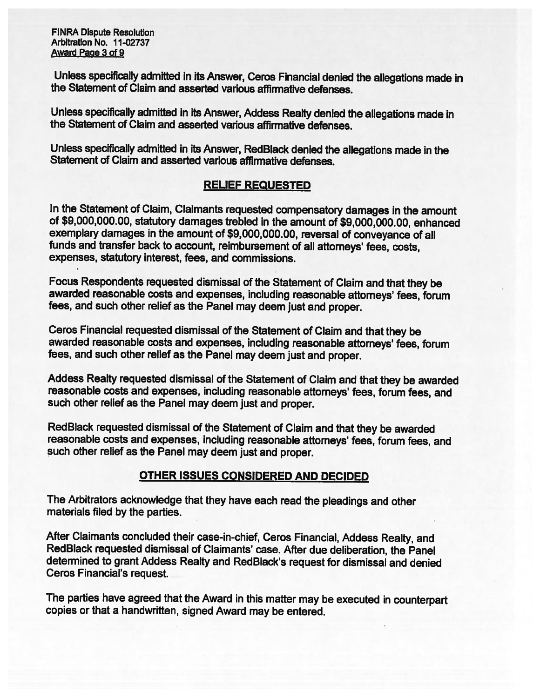FINRA Dispute Resolution Arbitration No. 11-02737 Award Page 3 of 9

Unless specifically admitted in its Answer, Ceros Financial denied the allegations made in the Statement of Claim and asserted various affirmative defenses.

Unless specifically admitted in its Answer, Addess Realty denied the allegations made in the Statement of Claim and asserted various affirmative defenses.

Unless specifically admitted in its Answer, RedB)ack denied the allegations made in the Statement of Claim and asserted various affirmative defenses.

# RELIEF REQUESTED

In the Statement of Claim, Claimants requested compensatory damages in the amount of \$9,000,000.00, statutory damages trebled in the amount of \$9,000,000.00, enhanced exemplary damages in the amount of \$9,000,000.00, reversal of conveyance of all funds and transfer back to account, reimbursement of all attorneys' fees, costs, expenses, statutory interest, fees, and commissions.

Focus Respondents requested dismissal of the Statement of Claim and that they be awarded reasonable costs and expenses, including reasonable attorneys' fees, forum fees, and such other relief as the Panel may deem just and proper.

Ceros Financial requested dismissal of the Statement of Claim and that they be awarded reasonable costs and expenses, including reasonable attorneys' fees, forum fees, and such other relief as the Panel may deem just and proper.

Addess Realty requested dismissal of the Statement of Claim and that they be awarded reasonable costs and expenses, including reasonable attorneys' fees, forum fees, and such other relief as the Panel may deem just and proper.

RedBlack requested dismissal of the Statement of Claim and that they be awarded reasonable costs and expenses, including reasonable attorneys' fees, forum fees, and such other relief as the Panel may deem just and proper.

### OTHER ISSUES CONSIDERED AND DECIDED

The Arbitrators acknowledge that they have each read the <sup>p</sup>leadings and other materials filed by the parties.

After Claimants concluded their case-in-chief, Ceros Financial, Addess Realty, and RedBlack requested dismissal of Claimants' case. After due deliberation, the Panel determined to grant Addess Realty and RedBlack's request for dismissal and denied Ceros Financial's request.

The parties have agreed that the Award in this matter may be executed in counterpart copies or that <sup>a</sup> handwritten, signed Award may be entered.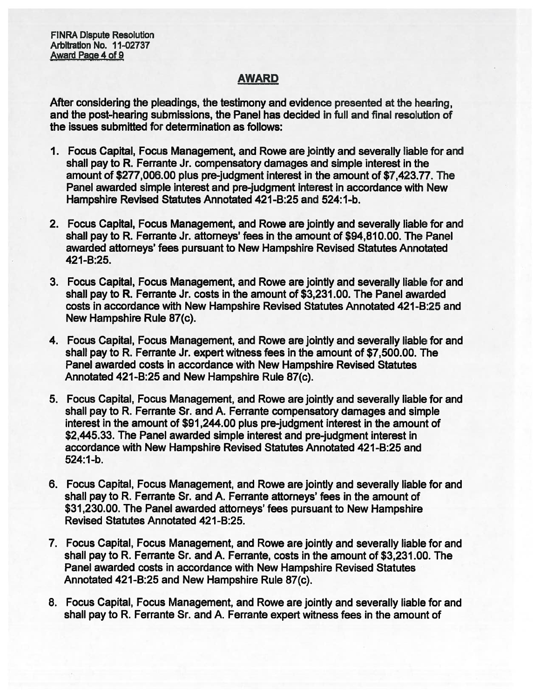FINRA Dispute Resolution Arbitration No. 11-02737 Award PaQe 4 of 9

# AWARD

After considering the pleadings, the testimony and evidence presented at the hearing, and the post-hearing submissions, the Panel has decided in full and final resolution of the issues submitted for determination as follows:

- 1. Focus Capital, Focus Management, and Rowe are jointly and severally liable for and shall pay to R. Ferrante Jr. compensatory damages and simple interest in the amount of \$277,006.00 plus pre-judgment interest in the amount of \$7,423.77. The Panel awarded simple interest and pre-judgment interest in accordance with New Hampshire Revised Statutes Annotated 421-B:25 and 524:1-b.
- 2. Focus Capital, Focus Management, and Rowe are jointly and severally liable for and shall pay to R. Ferrante Jr. attorneys' fees in the amount of \$94,810.00. The Panel awarded attorneys' fees pursuan<sup>t</sup> to New Hampshire Revised Statutes Annotated 421 -B:25.
- 3. Focus Capital, Focus Management, and Rowe are jointly and severally liable for and shall pay to R. Ferrante Jr. costs in the amount of \$3,231.00. The Panel awarded costs in accordance with New Hampshire Revised Statutes Annotated 421-B:25 and New Hampshire Rule 87(c).
- 4. Focus Capital, Focus Management, and Rowe are jointly and severally liable for and shall pay to R. Ferrante Jr. exper<sup>t</sup> witness fees in the amount of \$7,500.00. The Panel awarded costs in accordance with New Hampshire Revised Statutes Annotated 421-B:25 and New Hampshire Rule 87(c).
- 5. Focus Capital, Focus Management, and Rowe are jointly and severally liable for and shall pay to R. Ferrante Sr. and A. Ferrante compensatory damages and simple interest in the amount of \$91,244.00 plus pre-judgment interest in the amount of \$2,445.33. The Panel awarded simple interest and pre-judgment interest in accordance with New Hampshire Revised Statutes Annotated 421-B:25 and 524:1-b.
- 6. Focus Capital, Focus Management, and Rowe are jointly and severally liable for and shall pay to R. Ferrante Sr. and A. Ferrante attorneys' fees in the amount of \$31 ,230.00. The Panel awarded attorneys' fees pursuan<sup>t</sup> to New Hampshire Revised Statutes Annotated 421 -B:25.
- 7. Focus Capital, Focus Management, and Rowe are jointly and severally liable for and shall pay to R. Ferrante Sr. and A. Ferrante, costs in the amount of \$3,231.00. The Panel awarded costs in accordance with New Hampshire Revised Statutes Annotated 421-B:25 and New Hampshire Rule 87(c).
- 8. Focus Capital, Focus Management, and Rowe are jointly and severally liable for and shall pay to R. Ferrante Sr. and A. Ferrante exper<sup>t</sup> witness fees in the amount of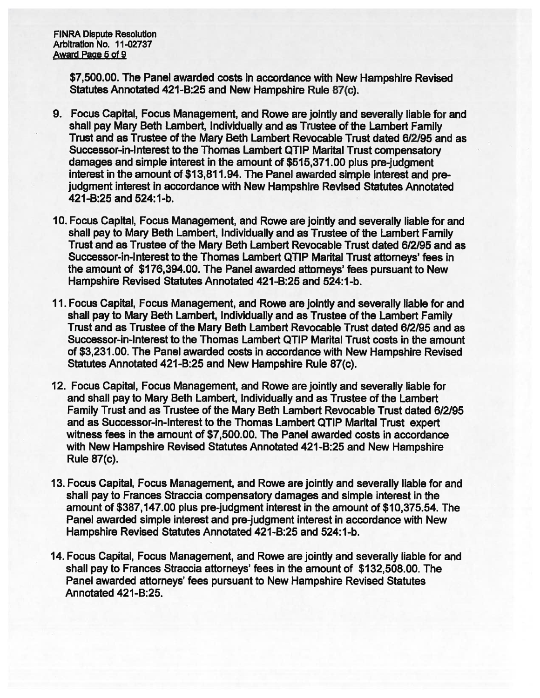FINRA Dispute Resolution Arbitration No. 11-02737 Award Page 5 of 9

> \$7,500.00. The Panel awarded costs in accordance with New Hampshire Revised Statutes Annotated 421-B:25 and New Hampshire Rule 87(c).

- 9. Focus Capital, Focus Management, and Rowe are jointly and severally liable for and shall pay Mary Beth Lambert, Individually and as Trustee of the Lambert Family Trust and as Trustee of the Mary Beth Lambert Revocable Trust dated 6/2195 and as Successor-in-Interest to the Thomas Lambert QTIP Marital Trust compensatory damages and simple interest in the amount of \$515,371.00 plus pre-judgment interest in the amount of \$13,811.94. The Panel awarded simple interest and pre judgment interest in accordance with New Hampshire Revised Statutes Annotated 421-B:25 and 524:1-b.
- 10. Focus Capital, Focus Management, and Rowe are jointly and severally liable for and shall pay to Mary Beth Lambert, Individually and as Trustee of the Lambert Family Trust and as Trustee of the Mary Beth Lambert Revocable Trust dated 6/2/95 and as Successor-in-Interest to the Thomas Lambert QTIP Marital Trust attorneys' fees in the amount of \$176,394.00. The Panel awarded attorneys' fees pursuan<sup>t</sup> to New Hampshire Revised Statutes Annotated 421-B:25 and 524:1-b.
- 11. Focus Capital, Focus Management, and Rowe are jointly and severally liable for and shall pay to Mary Beth Lambert, Individually and as Trustee of the Lambert Family Trust and as Trustee of the Mary Beth Lambert Revocable Trust dated 6/2/95 and as Successor-in-Interest to the Thomas Lambert QTIP Marital Trust costs in the amount of \$3,231.00. The Panel awarded costs in accordance with New Hampshire Revised Statutes Annotated 421-B:25 and New Hampshire Rule 87(c).
- 12. Focus Capital, Focus Management, and Rowe are jointly and severally liable for and shall pay to Mary Beth Lambert, Individually and as Trustee of the Lambert Family Trust and as Trustee of the Mary Beth Lambert Revocable Trust dated 6/2/95 and as Successor-in-Interest to the Thomas Lambert QTIP Marital Trust exper<sup>t</sup> witness fees in the amount of \$7,500.00. The Panel awarded costs in accordance with New Hampshire Revised Statutes Annotated 421-B:25 and New Hampshire Rule 87(c).
- 13. Focus Capital, Focus Management, and Rowe are jointly and severally liable for and shall pay to Frances Straccia compensatory damages and simple interest in the amount of \$387,147.00 plus pre-judgment interest in the amount of \$10,375.54. The Panel awarded simple interest and pre-judgment interest in accordance with New Hampshire Revised Statutes Annotated 421-B:25 and 524:1-b.
- 14. Focus Capital, Focus Management, and Rowe are jointly and severally liable for and shall pay to Frances Straccia attorneys' fees in the amount of \$132,508.00. The Panel awarded attorneys' fees pursuan<sup>t</sup> to New Hampshire Revised Statutes Annotated 421-B:25.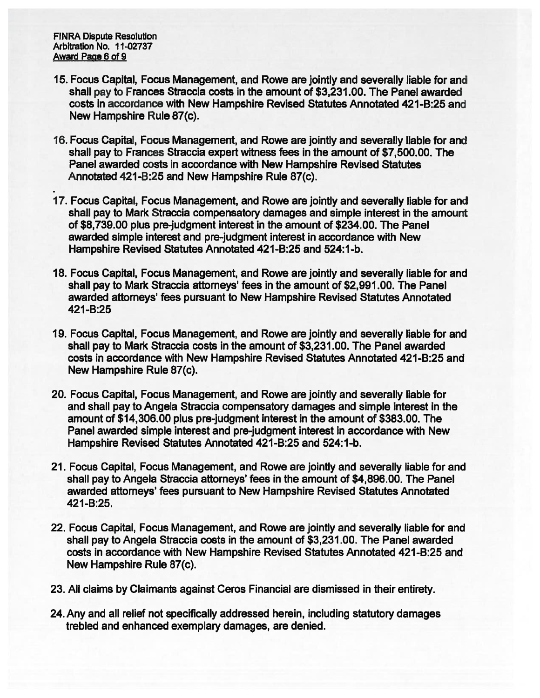FINRA Dispute Resolution Arbitration No. 11-02737 Award Page 6 of 9

- 15. Focus Capital, Focus Management, and Rowe are jointly and severally liable for and shall pay to Frances Straccia costs in the amount of \$3,231.00. The Panel awarded costs in accordance with New Hampshire Revised Statutes Annotated 421-8:25 and New Hampshire Rule 87(c).
- 16. Focus Capital, Focus Management, and Rowe are jointly and severally liable for and shall pay to Frances Straccia exper<sup>t</sup> witness fees in the amount of \$7,500.00. The Panel awarded costs in accordance with New Hampshire Revised Statutes Annotated 421 -8:25 and New Hampshire Rule 87(c).
- 17. Focus Capital, Focus Management, and Rowe are jointly and severally liable for and shall pay to Mark Straccia compensatory damages and simple interest in the amount of \$8,739.00 plus pre-judgment interest in the amount of \$234.00. The Panel awarded simple interest and pre-judgment interest in accordance with New Hampshire Revised Statutes Annotated 421-B:25 and 524:1-b.
- 18. Focus Capital, Focus Management, and Rowe are jointly and severally liable for and shall pay to Mark Straccia attorneys' fees in the amount of \$2,991.00. The Panel awarded attorneys' fees pursuan<sup>t</sup> to New Hampshire Revised Statutes Annotated 421-B:25
- 19. Focus Capital, Focus Management, and Rowe are jointly and severally liable for and shall pay to Mark Straccia costs in the amount of \$3,231.00. The Panel awarded costs in accordance with New Hampshire Revised Statutes Annotated 421-8:25 and New Hampshire Rule 87(c).
- 20. Focus Capital, Focus Management, and Rowe are jointly and severally liable for and shall pay to Angela Straccia compensatory damages and simple interest in the amount of \$14,306.00 plus pre-judgment interest in the amount of \$383.00. The Panel awarded simple interest and pre-judgment interest in accordance with New Hampshire Revised Statutes Annotated 421-B:25 and 524:1-b.
- 21. Focus Capital, Focus Management, and Rowe are jointly and severally liable for and shall pay to Angela Straccia attorneys' fees in the amount of \$4,896.00. The Panel awarded attorneys' fees pursuan<sup>t</sup> to New Hampshire Revised Statutes Annotated 421 -B:25.
- 22. Focus Capital, Focus Management, and Rowe are jointly and severally liable for and shall pay to Angela Straccia costs in the amount of \$3,231.00. The Panel awarded costs in accordance with New Hampshire Revised Statutes Annotated 421-B:25 and New Hampshire Rule 87(c).
- 23. All claims by Claimants against Ceros Financial are dismissed in their entirety.
- 24. Any and all relief not specifically addressed herein, including statutory damages trebled and enhanced exemplary damages, are denied.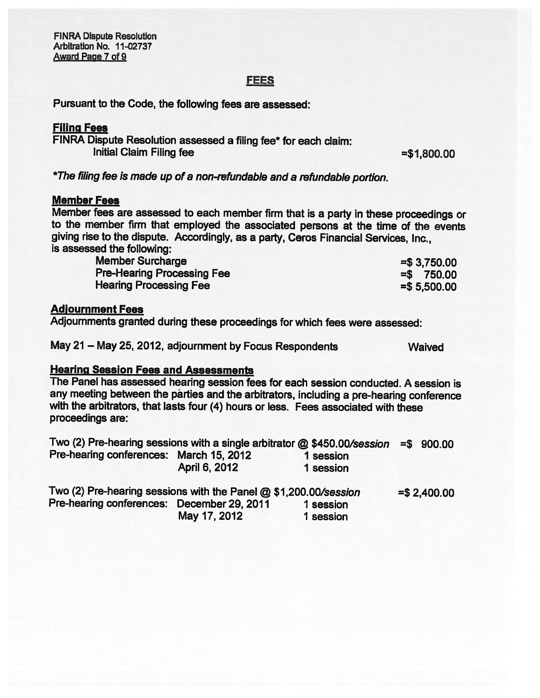F1NRA Dispute Resolution Arbitration No. 11-02737 Award Page 7 of 9

# FEES

Pursuant to the Code, the following fees are assessed:

## Filing Fees

FINRA Dispute Resolution assessed <sup>a</sup> filing fee\* for each claim: Initial Claim Filing fee  $= $1,800.00$ 

\*The filing fee is made up of <sup>a</sup> non-refundable and <sup>a</sup> refundable portion.

#### Member Fees

Member fees are assessed to each member firm that is <sup>a</sup> party in these proceedings or to the member firm that employed the associated persons at the time of the events <sup>g</sup>iving rise to the dispute. Accordingly, as <sup>a</sup> party, Ceros Financial Services, Inc., is assessed the following:

| <b>Member Surcharge</b>           | $= $3,750.00$ |
|-----------------------------------|---------------|
| <b>Pre-Hearing Processing Fee</b> | $= $$ 750.00  |
| <b>Hearing Processing Fee</b>     | $= $5,500.00$ |

#### Adlournment Fees

Adjournments granted during these proceedings for which fees were assessed:

May <sup>21</sup> — May 25, 2012, adjournment by Focus Respondents Waived

### Hearing Session Fees and Assessments

The Panel has assessed hearing session fees for each session conducted. <sup>A</sup> session is any meeting between the parties and the arbitrators, including <sup>a</sup> pre-hearing conference with the arbitrators, that lasts four (4) hours or less. Fees associated with these proceedings are:

| Two (2) Pre-hearing sessions with a single arbitrator @ \$450.00/session |               |                        | $= $ 900.00$ |
|--------------------------------------------------------------------------|---------------|------------------------|--------------|
| Pre-hearing conferences: March 15, 2012                                  | April 6, 2012 | 1 session<br>1 session |              |
|                                                                          |               |                        |              |

| Two (2) Pre-hearing sessions with the Panel @ \$1,200.00/session |              |           | $= $2,400.00$ |
|------------------------------------------------------------------|--------------|-----------|---------------|
| Pre-hearing conferences: December 29, 2011                       |              | 1 session |               |
|                                                                  | May 17, 2012 | 1 session |               |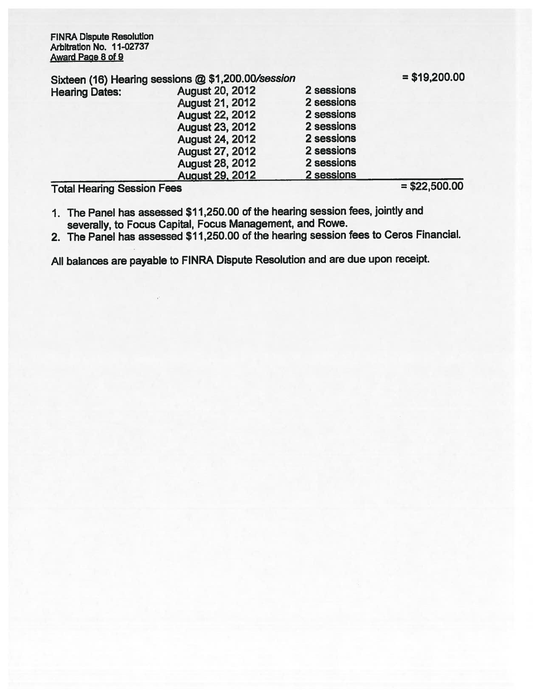FINRA Dispute Resolution Arbitration No. 11-02737 Award Page 8 of 9

| Sixteen (16) Hearing sessions @ \$1,200.00/session |                        |            | $= $19,200.00$ |
|----------------------------------------------------|------------------------|------------|----------------|
| <b>Hearing Dates:</b>                              | <b>August 20, 2012</b> | 2 sessions |                |
|                                                    | <b>August 21, 2012</b> | 2 sessions |                |
|                                                    | <b>August 22, 2012</b> | 2 sessions |                |
|                                                    | <b>August 23, 2012</b> | 2 sessions |                |
|                                                    | <b>August 24, 2012</b> | 2 sessions |                |
|                                                    | <b>August 27, 2012</b> | 2 sessions |                |
|                                                    | <b>August 28, 2012</b> | 2 sessions |                |
|                                                    | <b>August 29, 2012</b> | 2 sessions |                |
|                                                    |                        |            | AAA FAA AA     |

 $Total Hearing Session Fees$   $= $22,500.00$ 

- 1. The Panel has assessed \$11,250.00 of the hearing session fees, jointly and severally, to Focus Capital, Focus Management, and Rowe.
- 2. The Panel has assessed \$11,250.00 of the hearing session fees to Ceros Financial.

All balances are payable to FINRA Dispute Resolution and are due upon receipt.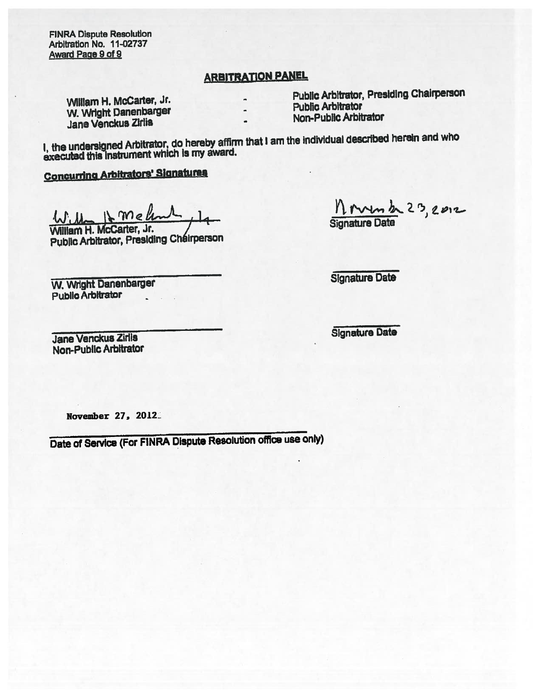FINRA Dispute Resolution Arbitration No. 11-02737 Award Page 9 of 9

# **ARBITRATION PANEL**

W. Wright Danenbarger Public Arbitrator Public Arbitrator Public Arbitrator Jane Venckus Zirlis

William H. McCarter, Jr. Public Arbitrator, Presiding Chairperson<br>Public Arbitrator

I, the undersigned Arbitrator, do hereby affirm that I am the individual described herein and who executed this instrument which is my award.

Concurring Arbitrators' Signatures

 $M$  mello Willem H. McCarter, Jr. James Bignature Date

Public Arbitrator, Presiding Chéirperson

W. Wright Danenbarger Signature Date Public Arbitrator

Jane Venckus Zirils Signature Date Non-Public Arbitrator

November 27, 2012.

Date of Service (For FINRA Dispute Resolution office use only)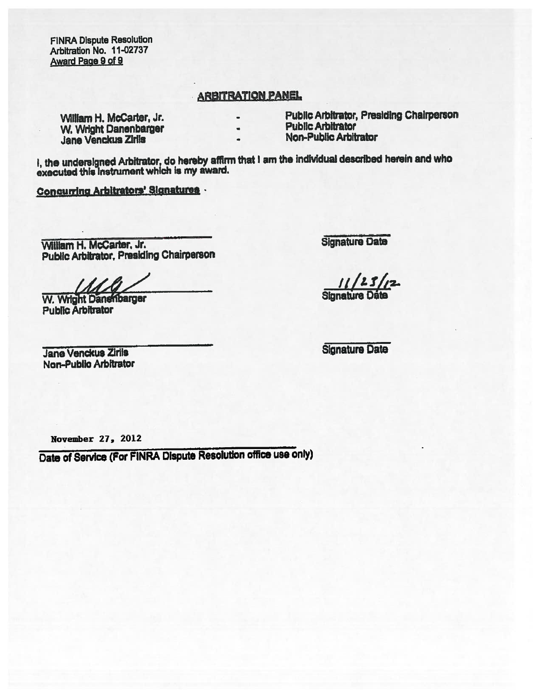FNRA Dispute Resolution Arbitration No. 11-02737 Award Paae 9 of 9

# **ARBITRATION PANEL**

William H. McCarter, Jr. **N. A. E. A. E. A. E. Public Arbitrator**, Presiding Chairperson<br>W. Wright Danapharcer **N. A. E. E. Public Arbitrator** W. Wright Danenbarger Public Arbitrator<br>
Non-Public Arbitrator<br>
Non-Public Arbitrator Jane Venckus Zirils

- 
- 
- 

I, the undersigned Arbitrator, do hereby affirm that I am the individual described herein and who executed this Instrument which is my award.

ConcwrIng Arbitrators' Signatures -

Viiiiam H. McCarter, Jr. -. Signature Data Public Arbitrator, Presiding Chairperson

W. Wright Danembarger Signature Public Arbitrator

**Jane Venckus Zirils** Signature Date Non-Pubilo Arbitrator

 $23/12$ 

November 27. 2012

Date of Service (For FINRA Dispute Resolution office use only)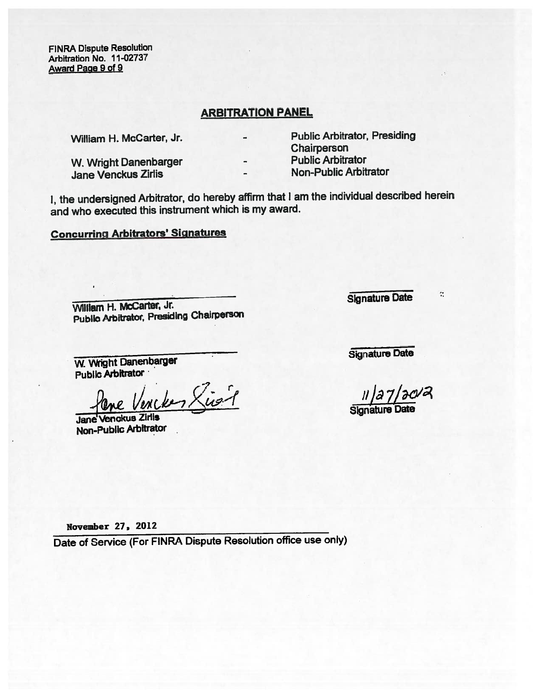FINRA Dispute Resolution Arbitration No. 11-02737 Award Paae 9 of 9

### ARBITRATION PANEL

W. Wright Danenbarger **Public Arbitrator**<br> **Public Arbitrator**<br> **Public Arbitrator** Jane Venckus Zirlis

William H. McCarter, Jr. **Public Arbitrator, Presiding** Chairperson<br>Public Arbitrator

- 
- 

I, the undersigned Arbitrator, do hereby affirm that <sup>I</sup> am the individual described herein and who executed this instrument which is my award.

# Concurring Arbitrators' Signatures

William H. McCarter, Jr. Signature Date Public Arbitrator, Presiding Chairperson

W. Wright Danenbarger Signature Date Public Arbitrator ·

Plane Vencken Signal

Non-Public Arbitrator

 $\ddot{\ddot{\phantom{a}}}\,$ 

November 27, 2012

Date of Service (For FINRA Dispute Resolution office use only)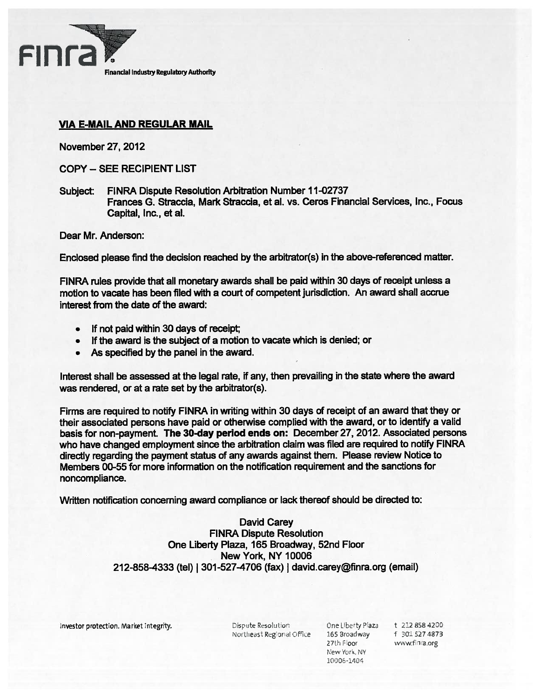

# VIA E-MAIL AND REGULAR MAIL

November 27, 2012

COPY — SEE RECIPIENT LIST

Subject: FINRA Dispute Resolution Arbitration Number 11-02737 Frances G. Straccia, Mark Straccia, et al. vs. Ceros Financial Services, Inc., Focus Capital, Inc., et al.

Dear Mr. Anderson:

Enclosed please find the decision reached by the arbitrator(s) in the above-referenced matter.

FINRA rules provide that all monetary awards shall be paid within 30 days of receipt unless <sup>a</sup> motion to vacate has been filed with <sup>a</sup> court of competent jurisdiction. An award shall accrue interest from the date of the award:

- •If not paid within 30 days of receipt;
- If the award is the subject of <sup>a</sup> motion to vacate which is denied; or
- As specified by the panel in the award.

Interest shall be assessed at the legal rate, if any, then prevailing in the state where the award was rendered, or at <sup>a</sup> rate set by the arbitrator(s).

Firms are required to notify FINRA in writing within 30 days of receipt of an award that they or their associated persons have paid or otherwise complied with the award, or to identify <sup>a</sup> valid basis for non-payment. The 30-day period ends on: December 27, 2012. Associated persons who have changed employment since the arbitration claim was filed are required to notify FINRA directly regarding the paymen<sup>t</sup> status of any awards against them. Please review Notice to Members 00-55 for more information on the notification requirement and the sanctions for noncompliance.

Written notification concerning award compliance or lack thereof should be directed to:

### David Carey FINRA Dispute Resolution One Liberty Plaza, 165 Broadway, 52nd Floor New York, NY 10006 212-858-4333 (tel) I 301-527-4706 (fax) I david.carey@finra.org (email)

Investor protection. Market integrity. Christian Execution Christian Cone Liberty Plaza t 212 858 4200

Northeast Regional Office 165 Broadway 1 16301 527 4873

27th Floor www.finra.org New York, NY 10006-1404